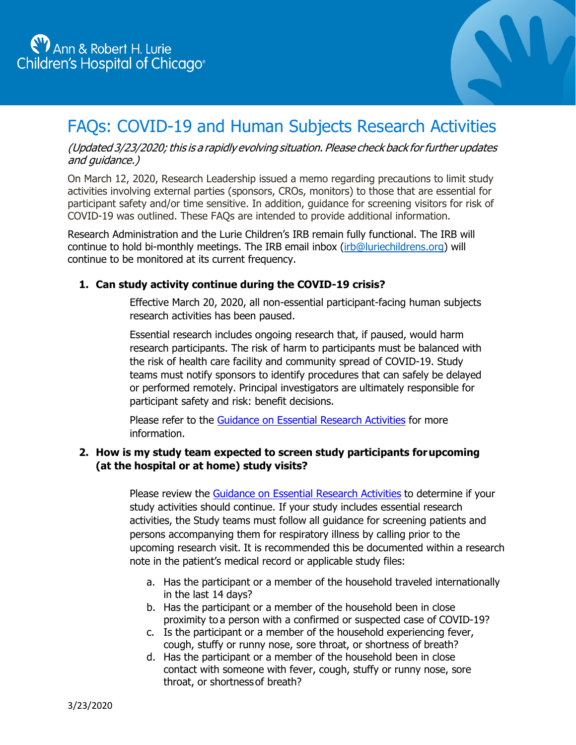

# FAQs: COVID-19 and Human Subjects Research Activities

# (Updated 3/23/2020; this is a rapidly evolving situation. Please check back for further updates and guidance.)

On March 12, 2020, Research Leadership issued a memo regarding precautions to limit study activities involving external parties (sponsors, CROs, monitors) to those that are essential for participant safety and/or time sensitive. In addition, guidance for screening visitors for risk of COVID-19 was outlined. These FAQs are intended to provide additional information.

Research Administration and the Lurie Children's IRB remain fully functional. The IRB will continue to hold bi-monthly meetings. The IRB email inbox [\(irb@luriechildrens.org\)](mailto:irb@luriechildrens.org) will continue to be monitored at its current frequency.

# **1. Can study activity continue during the COVID-19 crisis?**

Effective March 20, 2020, all non-essential participant-facing human subjects research activities has been paused.

Essential research includes ongoing research that, if paused, would harm research participants. The risk of harm to participants must be balanced with the risk of health care facility and community spread of COVID-19. Study teams must notify sponsors to identify procedures that can safely be delayed or performed remotely. Principal investigators are ultimately responsible for participant safety and risk: benefit decisions.

Please refer to the [Guidance on Essential Research Activities](https://www.luriechildrens.org/globalassets/media/pages/covid-19/guidance-essential-research-activities-20mar2020.pdf) for more information.

# **2. How is my study team expected to screen study participants forupcoming (at the hospital or at home) study visits?**

Please review the [Guidance on Essential Research Activities](https://www.luriechildrens.org/globalassets/media/pages/covid-19/guidance-essential-research-activities-20mar2020.pdf) to determine if your study activities should continue. If your study includes essential research activities, the Study teams must follow all guidance for screening patients and persons accompanying them for respiratory illness by calling prior to the upcoming research visit. It is recommended this be documented within a research note in the patient's medical record or applicable study files:

- a. Has the participant or a member of the household traveled internationally in the last 14 days?
- b. Has the participant or a member of the household been in close proximity to a person with a confirmed or suspected case of COVID-19?
- c. Is the participant or a member of the household experiencing fever, cough, stuffy or runny nose, sore throat, or shortness of breath?
- d. Has the participant or a member of the household been in close contact with someone with fever, cough, stuffy or runny nose, sore throat, or shortnessof breath?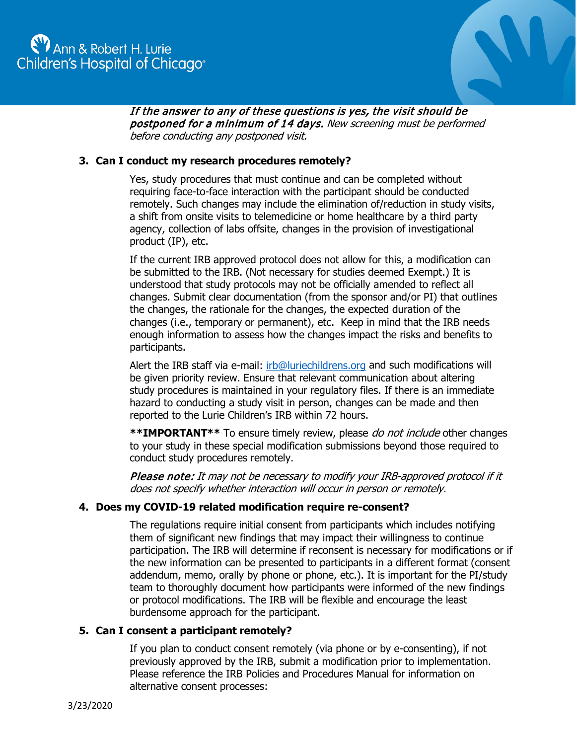

If the answer to any of these questions is yes, the visit should be postponed for a minimum of 14 days. New screening must be performed before conducting any postponed visit.

# **3. Can I conduct my research procedures remotely?**

Yes, study procedures that must continue and can be completed without requiring face-to-face interaction with the participant should be conducted remotely. Such changes may include the elimination of/reduction in study visits, a shift from onsite visits to telemedicine or home healthcare by a third party agency, collection of labs offsite, changes in the provision of investigational product (IP), etc.

If the current IRB approved protocol does not allow for this, a modification can be submitted to the IRB. (Not necessary for studies deemed Exempt.) It is understood that study protocols may not be officially amended to reflect all changes. Submit clear documentation (from the sponsor and/or PI) that outlines the changes, the rationale for the changes, the expected duration of the changes (i.e., temporary or permanent), etc. Keep in mind that the IRB needs enough information to assess how the changes impact the risks and benefits to participants.

Alert the IRB staff via e-mail: [irb@luriechildrens.org](mailto:irb@luriechildrens.org) and such modifications will be given priority review. Ensure that relevant communication about altering study procedures is maintained in your regulatory files. If there is an immediate hazard to conducting a study visit in person, changes can be made and then reported to the Lurie Children's IRB within 72 hours.

**\*\*IMPORTANT\*\*** To ensure timely review, please do not include other changes to your study in these special modification submissions beyond those required to conduct study procedures remotely.

Please note: It may not be necessary to modify your IRB-approved protocol if it does not specify whether interaction will occur in person or remotely.

## **4. Does my COVID-19 related modification require re-consent?**

The regulations require initial consent from participants which includes notifying them of significant new findings that may impact their willingness to continue participation. The IRB will determine if reconsent is necessary for modifications or if the new information can be presented to participants in a different format (consent addendum, memo, orally by phone or phone, etc.). It is important for the PI/study team to thoroughly document how participants were informed of the new findings or protocol modifications. The IRB will be flexible and encourage the least burdensome approach for the participant.

#### **5. Can I consent a participant remotely?**

If you plan to conduct consent remotely (via phone or by e-consenting), if not previously approved by the IRB, submit a modification prior to implementation. Please reference the IRB Policies and Procedures Manual for information on alternative consent processes: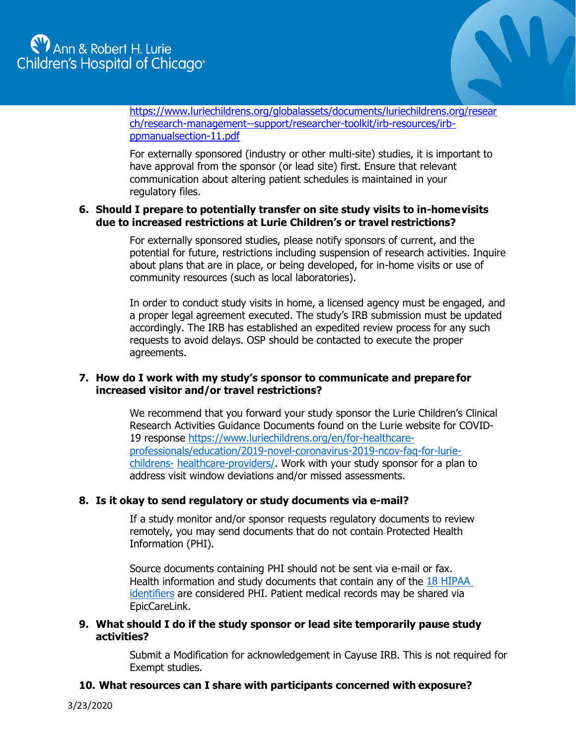

[https://www.luriechildrens.org/globalassets/documents/luriechildrens.org/resear](https://www.luriechildrens.org/globalassets/documents/luriechildrens.org/research/research-management--support/researcher-toolkit/irb-resources/irb-ppmanualsection-11.pdf) [ch/research-management--support/researcher-toolkit/irb-resources/irb](https://www.luriechildrens.org/globalassets/documents/luriechildrens.org/research/research-management--support/researcher-toolkit/irb-resources/irb-ppmanualsection-11.pdf)[ppmanualsection-11.pdf](https://www.luriechildrens.org/globalassets/documents/luriechildrens.org/research/research-management--support/researcher-toolkit/irb-resources/irb-ppmanualsection-11.pdf)

For externally sponsored (industry or other multi-site) studies, it is important to have approval from the sponsor (or lead site) first. Ensure that relevant communication about altering patient schedules is maintained in your regulatory files.

## **6. Should I prepare to potentially transfer on site study visits to in-homevisits due to increased restrictions at Lurie Children's or travel restrictions?**

For externally sponsored studies, please notify sponsors of current, and the potential for future, restrictions including suspension of research activities. Inquire about plans that are in place, or being developed, for in-home visits or use of community resources (such as local laboratories).

In order to conduct study visits in home, a licensed agency must be engaged, and a proper legal agreement executed. The study's IRB submission must be updated accordingly. The IRB has established an expedited review process for any such requests to avoid delays. OSP should be contacted to execute the proper agreements.

## **7. How do I work with my study's sponsor to communicate and prepare for increased visitor and/or travel restrictions?**

We recommend that you forward your study sponsor the Lurie Children's Clinical Research Activities Guidance Documents found on the Lurie website for COVID-19 response [https://www.luriechildrens.org/en/for-healthcare](https://www.luriechildrens.org/en/for-healthcare-professionals/education/2019-novel-coronavirus-2019-ncov-faq-for-lurie-childrens-healthcare-providers/)[professionals/education/2019-novel-coronavirus-2019-ncov-faq-for-lurie](https://www.luriechildrens.org/en/for-healthcare-professionals/education/2019-novel-coronavirus-2019-ncov-faq-for-lurie-childrens-healthcare-providers/)[childrens-](https://www.luriechildrens.org/en/for-healthcare-professionals/education/2019-novel-coronavirus-2019-ncov-faq-for-lurie-childrens-healthcare-providers/) [healthcare-providers/.](https://www.luriechildrens.org/en/for-healthcare-professionals/education/2019-novel-coronavirus-2019-ncov-faq-for-lurie-childrens-healthcare-providers/) Work with your study sponsor for a plan to address visit window deviations and/or missed assessments.

## **8. Is it okay to send regulatory or study documents via e-mail?**

If a study monitor and/or sponsor requests regulatory documents to review remotely, you may send documents that do not contain Protected Health Information (PHI).

Source documents containing PHI should not be sent via e-mail or fax. Health information and study documents that contain any of the 18 HIPAA [identifiers](https://privacyruleandresearch.nih.gov/pr_08.asp) are considered PHI. Patient medical records may be shared via EpicCareLink.

## **9. What should I do if the study sponsor or lead site temporarily pause study activities?**

Submit a Modification for acknowledgement in Cayuse IRB. This is not required for Exempt studies.

## **10. What resources can I share with participants concerned with exposure?**